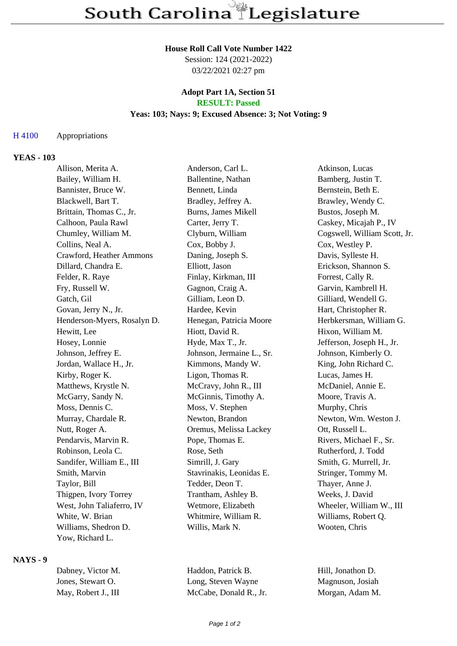#### **House Roll Call Vote Number 1422**

Session: 124 (2021-2022) 03/22/2021 02:27 pm

## **Adopt Part 1A, Section 51 RESULT: Passed**

# **Yeas: 103; Nays: 9; Excused Absence: 3; Not Voting: 9**

### H 4100 Appropriations

### **YEAS - 103**

| Allison, Merita A.          | Anderson, Carl L.          | Atkinson, Lucas              |
|-----------------------------|----------------------------|------------------------------|
| Bailey, William H.          | Ballentine, Nathan         | Bamberg, Justin T.           |
| Bannister, Bruce W.         | Bennett, Linda             | Bernstein, Beth E.           |
| Blackwell, Bart T.          | Bradley, Jeffrey A.        | Brawley, Wendy C.            |
| Brittain, Thomas C., Jr.    | <b>Burns, James Mikell</b> | Bustos, Joseph M.            |
| Calhoon, Paula Rawl         | Carter, Jerry T.           | Caskey, Micajah P., IV       |
| Chumley, William M.         | Clyburn, William           | Cogswell, William Scott, Jr. |
| Collins, Neal A.            | Cox, Bobby J.              | Cox, Westley P.              |
| Crawford, Heather Ammons    | Daning, Joseph S.          | Davis, Sylleste H.           |
| Dillard, Chandra E.         | Elliott, Jason             | Erickson, Shannon S.         |
| Felder, R. Raye             | Finlay, Kirkman, III       | Forrest, Cally R.            |
| Fry, Russell W.             | Gagnon, Craig A.           | Garvin, Kambrell H.          |
| Gatch, Gil                  | Gilliam, Leon D.           | Gilliard, Wendell G.         |
| Govan, Jerry N., Jr.        | Hardee, Kevin              | Hart, Christopher R.         |
| Henderson-Myers, Rosalyn D. | Henegan, Patricia Moore    | Herbkersman, William G.      |
| Hewitt, Lee                 | Hiott, David R.            | Hixon, William M.            |
| Hosey, Lonnie               | Hyde, Max T., Jr.          | Jefferson, Joseph H., Jr.    |
| Johnson, Jeffrey E.         | Johnson, Jermaine L., Sr.  | Johnson, Kimberly O.         |
| Jordan, Wallace H., Jr.     | Kimmons, Mandy W.          | King, John Richard C.        |
| Kirby, Roger K.             | Ligon, Thomas R.           | Lucas, James H.              |
| Matthews, Krystle N.        | McCravy, John R., III      | McDaniel, Annie E.           |
| McGarry, Sandy N.           | McGinnis, Timothy A.       | Moore, Travis A.             |
| Moss, Dennis C.             | Moss, V. Stephen           | Murphy, Chris                |
| Murray, Chardale R.         | Newton, Brandon            | Newton, Wm. Weston J.        |
| Nutt, Roger A.              | Oremus, Melissa Lackey     | Ott, Russell L.              |
| Pendarvis, Marvin R.        | Pope, Thomas E.            | Rivers, Michael F., Sr.      |
| Robinson, Leola C.          | Rose, Seth                 | Rutherford, J. Todd          |
| Sandifer, William E., III   | Simrill, J. Gary           | Smith, G. Murrell, Jr.       |
| Smith, Marvin               | Stavrinakis, Leonidas E.   | Stringer, Tommy M.           |
| Taylor, Bill                | Tedder, Deon T.            | Thayer, Anne J.              |
| Thigpen, Ivory Torrey       | Trantham, Ashley B.        | Weeks, J. David              |
| West, John Taliaferro, IV   | Wetmore, Elizabeth         | Wheeler, William W., III     |
| White, W. Brian             | Whitmire, William R.       | Williams, Robert Q.          |
| Williams, Shedron D.        | Willis, Mark N.            | Wooten, Chris                |
| Yow, Richard L.             |                            |                              |

#### **NAYS - 9**

| Dabney, Victor M.   | Haddon, Patrick B.     |
|---------------------|------------------------|
| Jones, Stewart O.   | Long, Steven Wayne     |
| May, Robert J., III | McCabe, Donald R., Jr. |

Hill, Jonathon D. Magnuson, Josiah Morgan, Adam M.